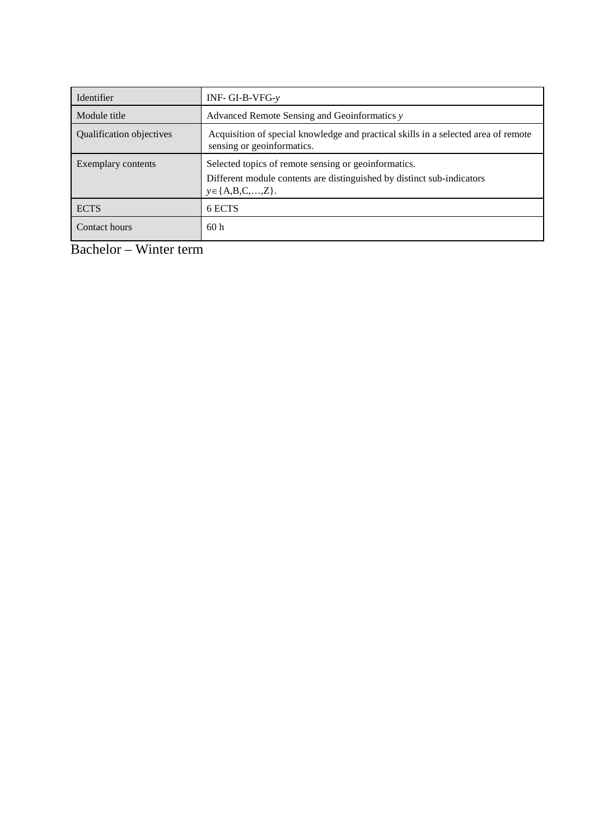| Identifier               | INF- GI-B-VFG- $v$                                                                                                                                          |
|--------------------------|-------------------------------------------------------------------------------------------------------------------------------------------------------------|
| Module title             | Advanced Remote Sensing and Geoinformatics y                                                                                                                |
| Qualification objectives | Acquisition of special knowledge and practical skills in a selected area of remote<br>sensing or geoinformatics.                                            |
| Exemplary contents       | Selected topics of remote sensing or geoinformatics.<br>Different module contents are distinguished by distinct sub-indicators<br>$y \in \{A, B, C, , Z\}.$ |
| <b>ECTS</b>              | 6 ECTS                                                                                                                                                      |
| Contact hours            | 60 <sub>h</sub>                                                                                                                                             |

Bachelor – Winter term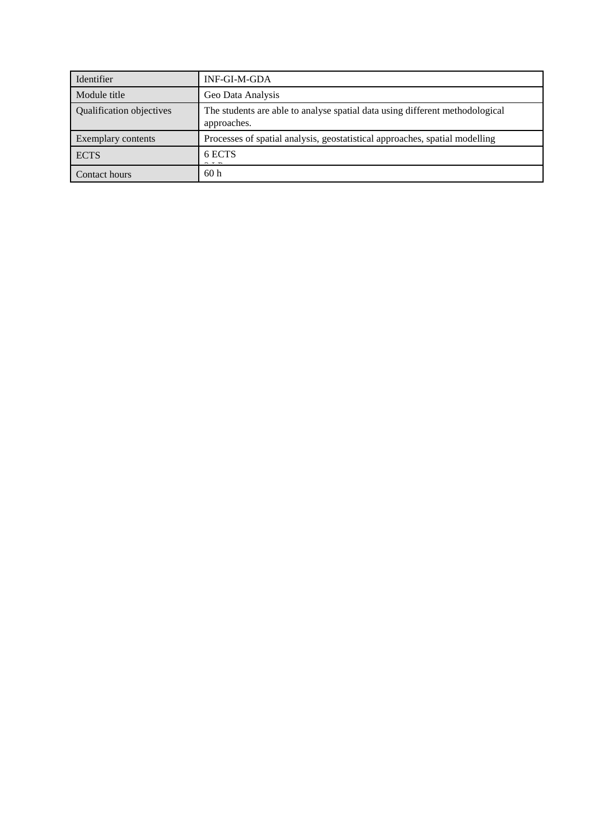| Identifier               | INF-GI-M-GDA                                                                                |
|--------------------------|---------------------------------------------------------------------------------------------|
| Module title             | Geo Data Analysis                                                                           |
| Qualification objectives | The students are able to analyse spatial data using different methodological<br>approaches. |
| Exemplary contents       | Processes of spatial analysis, geostatistical approaches, spatial modelling                 |
| <b>ECTS</b>              | 6 ECTS                                                                                      |
| Contact hours            | 60h                                                                                         |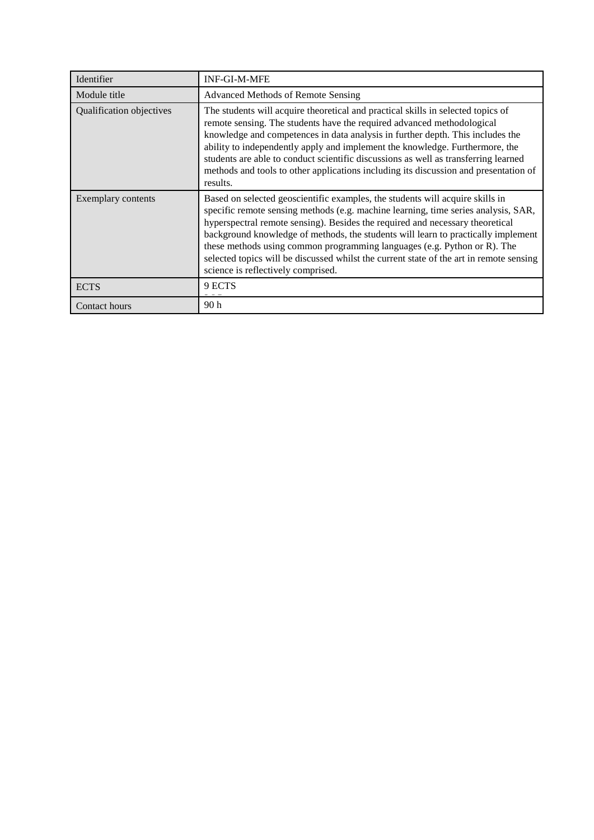| Identifier               | <b>INF-GI-M-MFE</b>                                                                                                                                                                                                                                                                                                                                                                                                                                                                                                                                    |
|--------------------------|--------------------------------------------------------------------------------------------------------------------------------------------------------------------------------------------------------------------------------------------------------------------------------------------------------------------------------------------------------------------------------------------------------------------------------------------------------------------------------------------------------------------------------------------------------|
| Module title             | Advanced Methods of Remote Sensing                                                                                                                                                                                                                                                                                                                                                                                                                                                                                                                     |
| Qualification objectives | The students will acquire theoretical and practical skills in selected topics of<br>remote sensing. The students have the required advanced methodological<br>knowledge and competences in data analysis in further depth. This includes the<br>ability to independently apply and implement the knowledge. Furthermore, the<br>students are able to conduct scientific discussions as well as transferring learned<br>methods and tools to other applications including its discussion and presentation of<br>results.                                |
| Exemplary contents       | Based on selected geoscientific examples, the students will acquire skills in<br>specific remote sensing methods (e.g. machine learning, time series analysis, SAR,<br>hyperspectral remote sensing). Besides the required and necessary theoretical<br>background knowledge of methods, the students will learn to practically implement<br>these methods using common programming languages (e.g. Python or R). The<br>selected topics will be discussed whilst the current state of the art in remote sensing<br>science is reflectively comprised. |
| <b>ECTS</b>              | 9 ECTS                                                                                                                                                                                                                                                                                                                                                                                                                                                                                                                                                 |
| Contact hours            | 90 <sub>h</sub>                                                                                                                                                                                                                                                                                                                                                                                                                                                                                                                                        |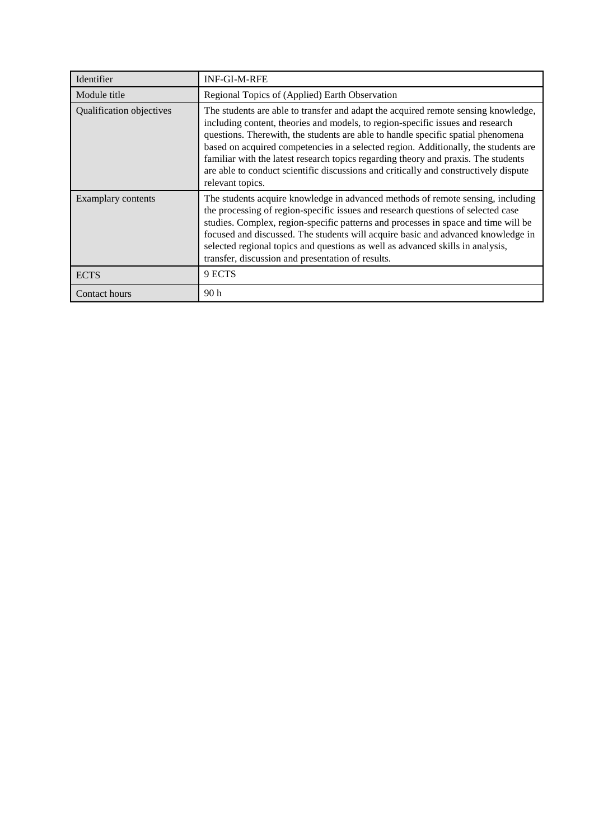| Identifier               | <b>INF-GI-M-RFE</b>                                                                                                                                                                                                                                                                                                                                                                                                                                                                                                                                |
|--------------------------|----------------------------------------------------------------------------------------------------------------------------------------------------------------------------------------------------------------------------------------------------------------------------------------------------------------------------------------------------------------------------------------------------------------------------------------------------------------------------------------------------------------------------------------------------|
| Module title             | Regional Topics of (Applied) Earth Observation                                                                                                                                                                                                                                                                                                                                                                                                                                                                                                     |
| Qualification objectives | The students are able to transfer and adapt the acquired remote sensing knowledge,<br>including content, theories and models, to region-specific issues and research<br>questions. There with, the students are able to handle specific spatial phenomena<br>based on acquired competencies in a selected region. Additionally, the students are<br>familiar with the latest research topics regarding theory and praxis. The students<br>are able to conduct scientific discussions and critically and constructively dispute<br>relevant topics. |
| Examplary contents       | The students acquire knowledge in advanced methods of remote sensing, including<br>the processing of region-specific issues and research questions of selected case<br>studies. Complex, region-specific patterns and processes in space and time will be<br>focused and discussed. The students will acquire basic and advanced knowledge in<br>selected regional topics and questions as well as advanced skills in analysis,<br>transfer, discussion and presentation of results.                                                               |
| <b>ECTS</b>              | 9 ECTS                                                                                                                                                                                                                                                                                                                                                                                                                                                                                                                                             |
| Contact hours            | 90 <sub>h</sub>                                                                                                                                                                                                                                                                                                                                                                                                                                                                                                                                    |